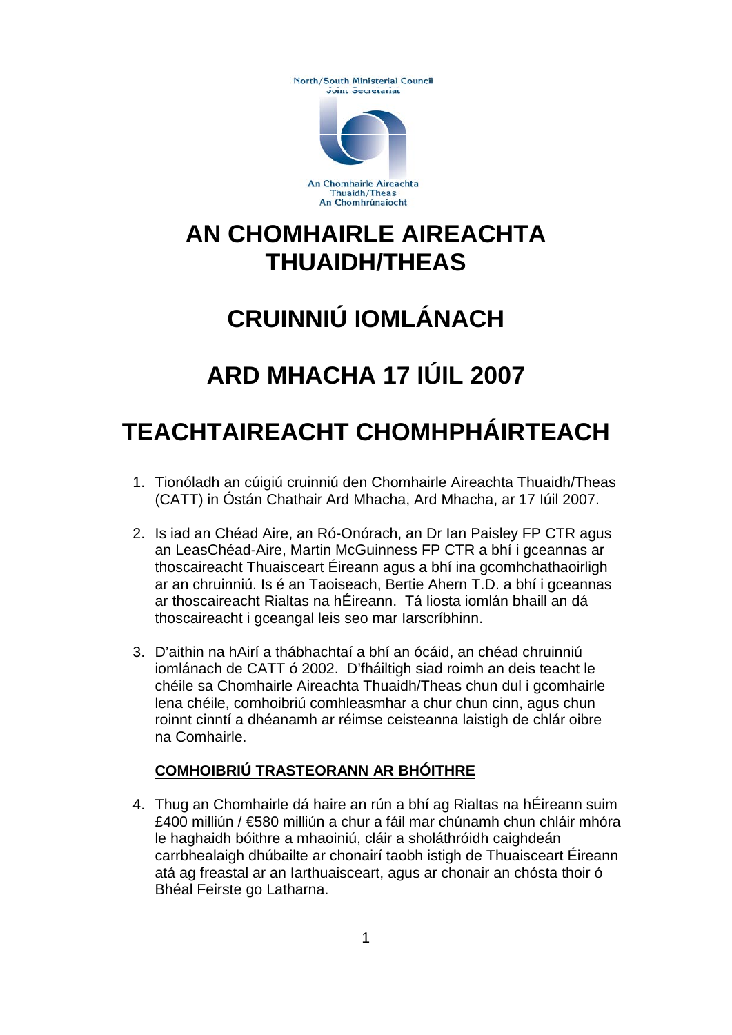**North/South Ministerial Council** Joint Secretariat



An Chomhairle Aireachta Thuaidh/Theas An Chomhrúnaíocht

### **AN CHOMHAIRLE AIREACHTA THUAIDH/THEAS**

# **CRUINNIÚ IOMLÁNACH**

## **ARD MHACHA 17 IÚIL 2007**

## **TEACHTAIREACHT CHOMHPHÁIRTEACH**

- 1. Tionóladh an cúigiú cruinniú den Chomhairle Aireachta Thuaidh/Theas (CATT) in Óstán Chathair Ard Mhacha, Ard Mhacha, ar 17 Iúil 2007.
- 2. Is iad an Chéad Aire, an Ró-Onórach, an Dr Ian Paisley FP CTR agus an LeasChéad-Aire, Martin McGuinness FP CTR a bhí i gceannas ar thoscaireacht Thuaisceart Éireann agus a bhí ina gcomhchathaoirligh ar an chruinniú. Is é an Taoiseach, Bertie Ahern T.D. a bhí i gceannas ar thoscaireacht Rialtas na hÉireann. Tá liosta iomlán bhaill an dá thoscaireacht i gceangal leis seo mar Iarscríbhinn.
- 3. D'aithin na hAirí a thábhachtaí a bhí an ócáid, an chéad chruinniú iomlánach de CATT ó 2002. D'fháiltigh siad roimh an deis teacht le chéile sa Chomhairle Aireachta Thuaidh/Theas chun dul i gcomhairle lena chéile, comhoibriú comhleasmhar a chur chun cinn, agus chun roinnt cinntí a dhéanamh ar réimse ceisteanna laistigh de chlár oibre na Comhairle.

#### **COMHOIBRIÚ TRASTEORANN AR BHÓITHRE**

4. Thug an Chomhairle dá haire an rún a bhí ag Rialtas na hÉireann suim £400 milliún / €580 milliún a chur a fáil mar chúnamh chun chláir mhóra le haghaidh bóithre a mhaoiniú, cláir a sholáthróidh caighdeán carrbhealaigh dhúbailte ar chonairí taobh istigh de Thuaisceart Éireann atá ag freastal ar an Iarthuaisceart, agus ar chonair an chósta thoir ó Bhéal Feirste go Latharna.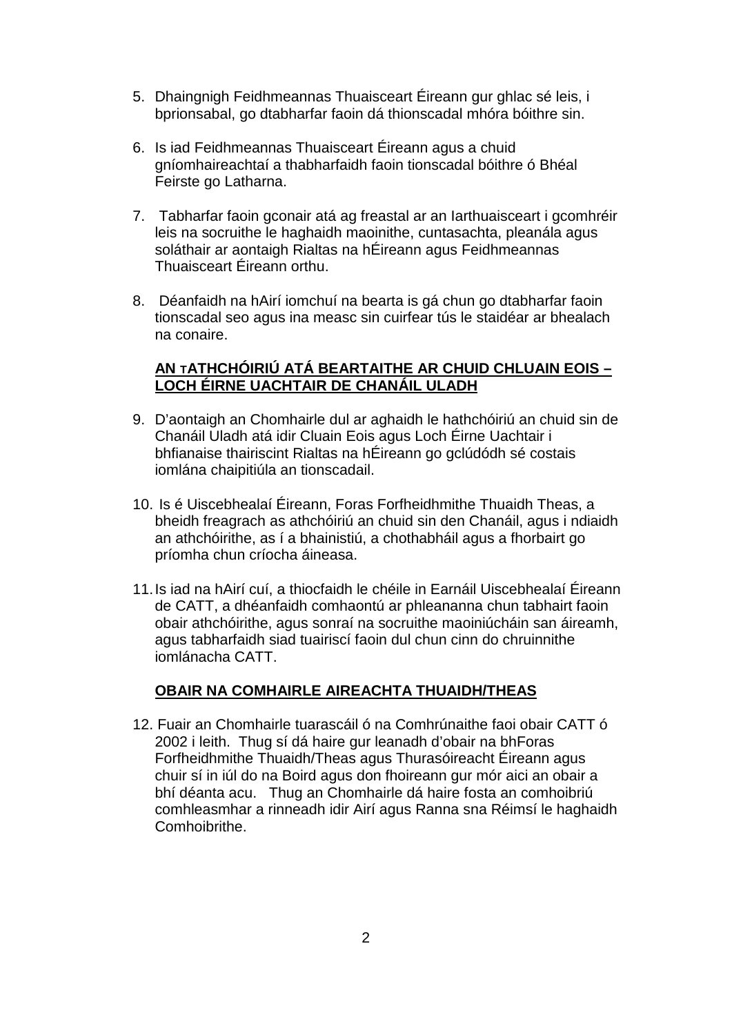- 5. Dhaingnigh Feidhmeannas Thuaisceart Éireann gur ghlac sé leis, i bprionsabal, go dtabharfar faoin dá thionscadal mhóra bóithre sin.
- 6. Is iad Feidhmeannas Thuaisceart Éireann agus a chuid gníomhaireachtaí a thabharfaidh faoin tionscadal bóithre ó Bhéal Feirste go Latharna.
- 7. Tabharfar faoin gconair atá ag freastal ar an Iarthuaisceart i gcomhréir leis na socruithe le haghaidh maoinithe, cuntasachta, pleanála agus soláthair ar aontaigh Rialtas na hÉireann agus Feidhmeannas Thuaisceart Éireann orthu.
- 8. Déanfaidh na hAirí iomchuí na bearta is gá chun go dtabharfar faoin tionscadal seo agus ina measc sin cuirfear tús le staidéar ar bhealach na conaire.

#### **AN TATHCHÓIRIÚ ATÁ BEARTAITHE AR CHUID CHLUAIN EOIS – LOCH ÉIRNE UACHTAIR DE CHANÁIL ULADH**

- 9. D'aontaigh an Chomhairle dul ar aghaidh le hathchóiriú an chuid sin de Chanáil Uladh atá idir Cluain Eois agus Loch Éirne Uachtair i bhfianaise thairiscint Rialtas na hÉireann go gclúdódh sé costais iomlána chaipitiúla an tionscadail.
- 10. Is é Uiscebhealaí Éireann, Foras Forfheidhmithe Thuaidh Theas, a bheidh freagrach as athchóiriú an chuid sin den Chanáil, agus i ndiaidh an athchóirithe, as í a bhainistiú, a chothabháil agus a fhorbairt go príomha chun críocha áineasa.
- 11.Is iad na hAirí cuí, a thiocfaidh le chéile in Earnáil Uiscebhealaí Éireann de CATT, a dhéanfaidh comhaontú ar phleananna chun tabhairt faoin obair athchóirithe, agus sonraí na socruithe maoiniúcháin san áireamh, agus tabharfaidh siad tuairiscí faoin dul chun cinn do chruinnithe iomlánacha CATT.

#### **OBAIR NA COMHAIRLE AIREACHTA THUAIDH/THEAS**

12. Fuair an Chomhairle tuarascáil ó na Comhrúnaithe faoi obair CATT ó 2002 i leith. Thug sí dá haire gur leanadh d'obair na bhForas Forfheidhmithe Thuaidh/Theas agus Thurasóireacht Éireann agus chuir sí in iúl do na Boird agus don fhoireann gur mór aici an obair a bhí déanta acu. Thug an Chomhairle dá haire fosta an comhoibriú comhleasmhar a rinneadh idir Airí agus Ranna sna Réimsí le haghaidh Comhoibrithe.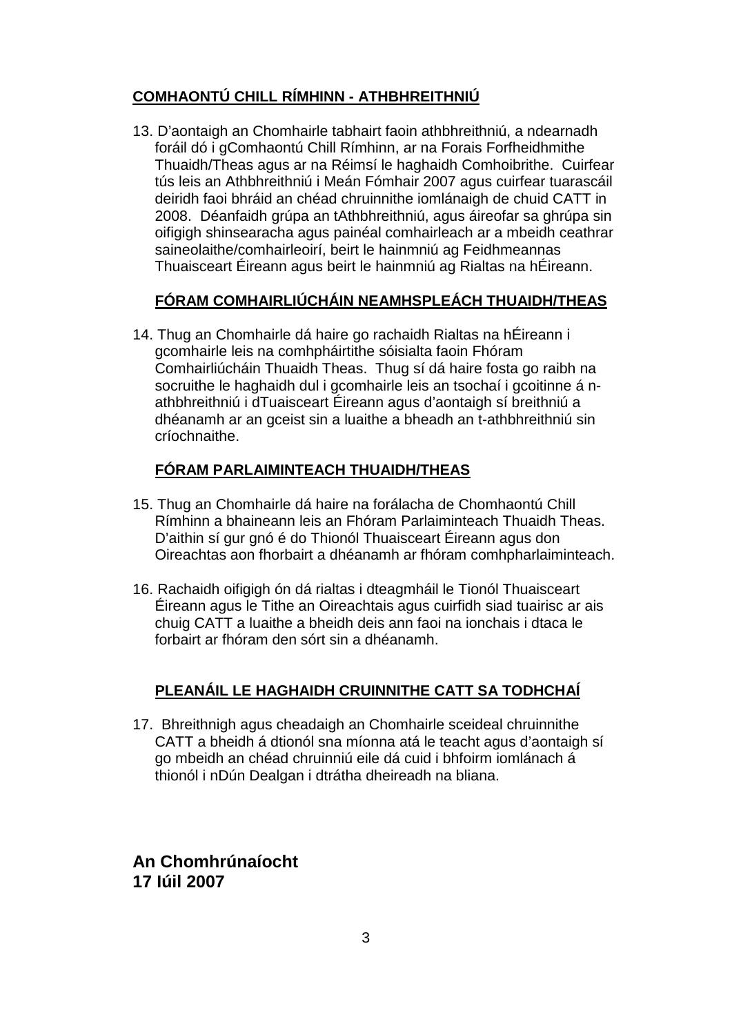#### **COMHAONTÚ CHILL RÍMHINN - ATHBHREITHNIÚ**

13. D'aontaigh an Chomhairle tabhairt faoin athbhreithniú, a ndearnadh foráil dó i gComhaontú Chill Rímhinn, ar na Forais Forfheidhmithe Thuaidh/Theas agus ar na Réimsí le haghaidh Comhoibrithe. Cuirfear tús leis an Athbhreithniú i Meán Fómhair 2007 agus cuirfear tuarascáil deiridh faoi bhráid an chéad chruinnithe iomlánaigh de chuid CATT in 2008. Déanfaidh grúpa an tAthbhreithniú, agus áireofar sa ghrúpa sin oifigigh shinsearacha agus painéal comhairleach ar a mbeidh ceathrar saineolaithe/comhairleoirí, beirt le hainmniú ag Feidhmeannas Thuaisceart Éireann agus beirt le hainmniú ag Rialtas na hÉireann.

#### **FÓRAM COMHAIRLIÚCHÁIN NEAMHSPLEÁCH THUAIDH/THEAS**

14. Thug an Chomhairle dá haire go rachaidh Rialtas na hÉireann i gcomhairle leis na comhpháirtithe sóisialta faoin Fhóram Comhairliúcháin Thuaidh Theas. Thug sí dá haire fosta go raibh na socruithe le haghaidh dul i gcomhairle leis an tsochaí i gcoitinne á nathbhreithniú i dTuaisceart Éireann agus d'aontaigh sí breithniú a dhéanamh ar an gceist sin a luaithe a bheadh an t-athbhreithniú sin críochnaithe.

#### **FÓRAM PARLAIMINTEACH THUAIDH/THEAS**

- 15. Thug an Chomhairle dá haire na forálacha de Chomhaontú Chill Rímhinn a bhaineann leis an Fhóram Parlaiminteach Thuaidh Theas. D'aithin sí gur gnó é do Thionól Thuaisceart Éireann agus don Oireachtas aon fhorbairt a dhéanamh ar fhóram comhpharlaiminteach.
- 16. Rachaidh oifigigh ón dá rialtas i dteagmháil le Tionól Thuaisceart Éireann agus le Tithe an Oireachtais agus cuirfidh siad tuairisc ar ais chuig CATT a luaithe a bheidh deis ann faoi na ionchais i dtaca le forbairt ar fhóram den sórt sin a dhéanamh.

#### **PLEANÁIL LE HAGHAIDH CRUINNITHE CATT SA TODHCHAÍ**

17. Bhreithnigh agus cheadaigh an Chomhairle sceideal chruinnithe CATT a bheidh á dtionól sna míonna atá le teacht agus d'aontaigh sí go mbeidh an chéad chruinniú eile dá cuid i bhfoirm iomlánach á thionól i nDún Dealgan i dtrátha dheireadh na bliana.

**An Chomhrúnaíocht 17 Iúil 2007**